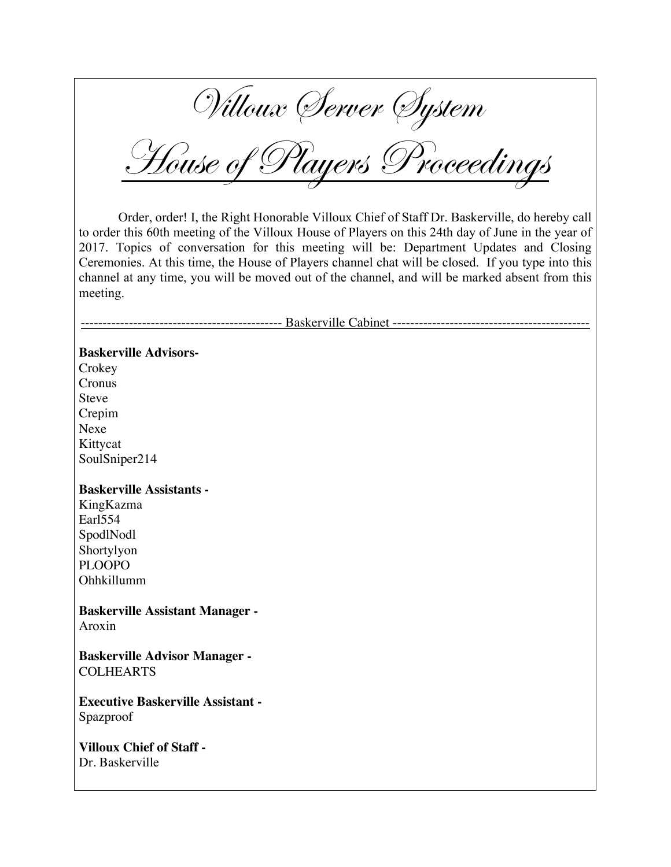Villoux Server System

House of Players Proceedings

Order, order! I, the Right Honorable Villoux Chief of Staff Dr. Baskerville, do hereby call to order this 60th meeting of the Villoux House of Players on this 24th day of June in the year of 2017. Topics of conversation for this meeting will be: Department Updates and Closing Ceremonies. At this time, the House of Players channel chat will be closed. If you type into this channel at any time, you will be moved out of the channel, and will be marked absent from this meeting.

---------------------------------------------- Baskerville Cabinet ---------------------------------------------

#### **Baskerville Advisors-**

**Crokey** Cronus Steve Crepim Nexe Kittycat SoulSniper214

### **Baskerville Assistants -**

KingKazma Earl554 SpodlNodl Shortylyon PLOOPO Ohhkillumm

**Baskerville Assistant Manager -** Aroxin

**Baskerville Advisor Manager -** COLHEARTS

**Executive Baskerville Assistant -** Spazproof

**Villoux Chief of Staff -** Dr. Baskerville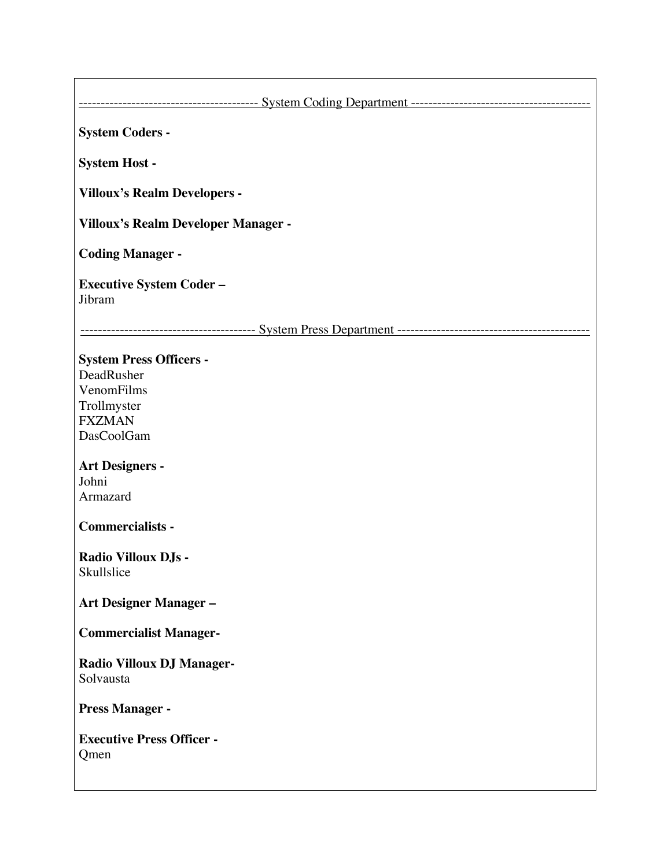----------------------------------------- System Coding Department -----------------------------------------

**System Coders -**

**System Host -**

**Villoux's Realm Developers -**

**Villoux's Realm Developer Manager -**

**Coding Manager -**

**Executive System Coder –** Jibram

---------------------------------------- System Press Department --------------------------------------------

# **System Press Officers -**

DeadRusher VenomFilms Trollmyster FXZMAN DasCoolGam

#### **Art Designers -** Johni

Armazard

### **Commercialists -**

#### **Radio Villoux DJs - Skullslice**

### **Art Designer Manager –**

**Commercialist Manager-**

# **Radio Villoux DJ Manager-**Solvausta

**Press Manager -**

# **Executive Press Officer -** Qmen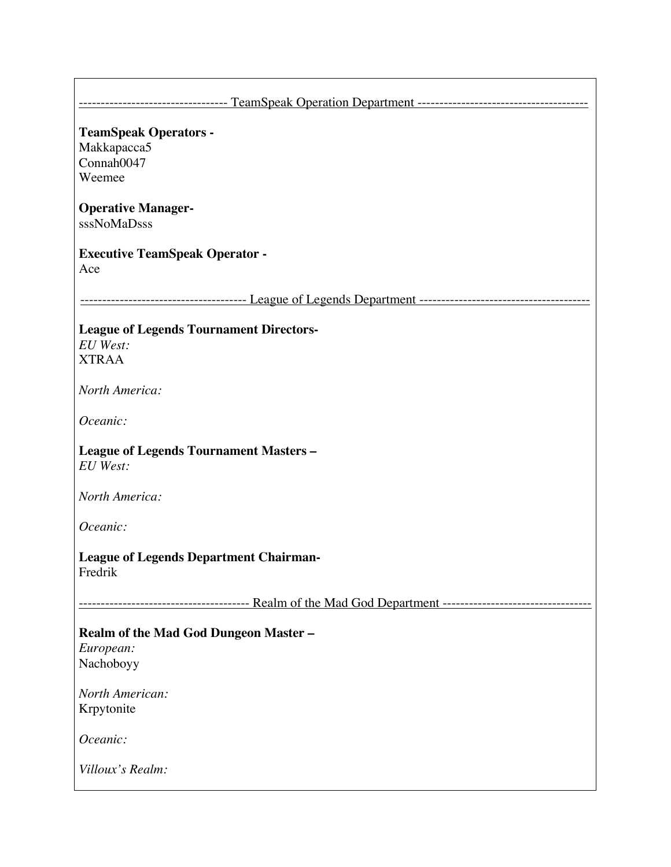| <b>TeamSpeak Operators -</b>                                                            |
|-----------------------------------------------------------------------------------------|
| Makkapacca5                                                                             |
| Connah0047                                                                              |
| Weemee                                                                                  |
| <b>Operative Manager-</b>                                                               |
| sssNoMaDsss                                                                             |
| <b>Executive TeamSpeak Operator -</b>                                                   |
| Ace                                                                                     |
|                                                                                         |
| <b>League of Legends Tournament Directors-</b>                                          |
| <b>EU</b> West:                                                                         |
| <b>XTRAA</b>                                                                            |
| North America:                                                                          |
| Oceanic:                                                                                |
| <b>League of Legends Tournament Masters -</b><br>EU West:                               |
| North America:                                                                          |
| Oceanic:                                                                                |
| <b>League of Legends Department Chairman-</b><br>Fredrik                                |
| --------------------------- Realm of the Mad God Department --------------------------- |
| Realm of the Mad God Dungeon Master-                                                    |
| European:                                                                               |
| Nachoboyy                                                                               |
| North American:                                                                         |
| Krpytonite                                                                              |
|                                                                                         |
| Oceanic:                                                                                |
| Villoux's Realm:                                                                        |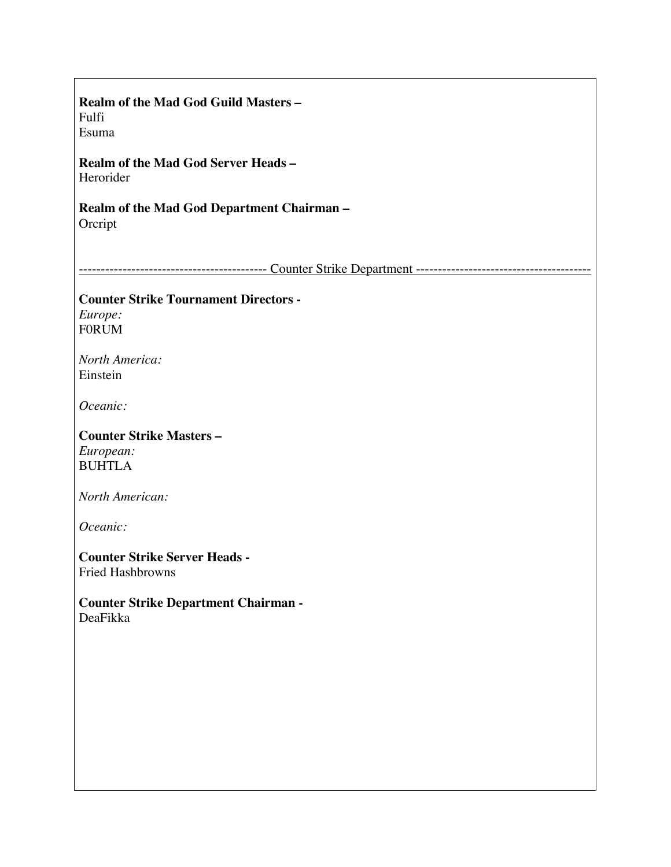| Realm of the Mad God Guild Masters -                 |
|------------------------------------------------------|
| Fulfi                                                |
| Esuma                                                |
| Realm of the Mad God Server Heads -<br>Herorider     |
| Realm of the Mad God Department Chairman-<br>Orcript |
|                                                      |
|                                                      |
| <b>Counter Strike Tournament Directors -</b>         |
| Europe:                                              |
| <b>FORUM</b>                                         |
| North America:                                       |
| Einstein                                             |
|                                                      |
| Oceanic:                                             |
| <b>Counter Strike Masters -</b>                      |
| European:                                            |
| <b>BUHTLA</b>                                        |
|                                                      |
| North American:                                      |
| Oceanic:                                             |
|                                                      |
| <b>Counter Strike Server Heads -</b>                 |
| <b>Fried Hashbrowns</b>                              |
| <b>Counter Strike Department Chairman -</b>          |
| DeaFikka                                             |
|                                                      |
|                                                      |
|                                                      |
|                                                      |
|                                                      |
|                                                      |
|                                                      |
|                                                      |
|                                                      |
|                                                      |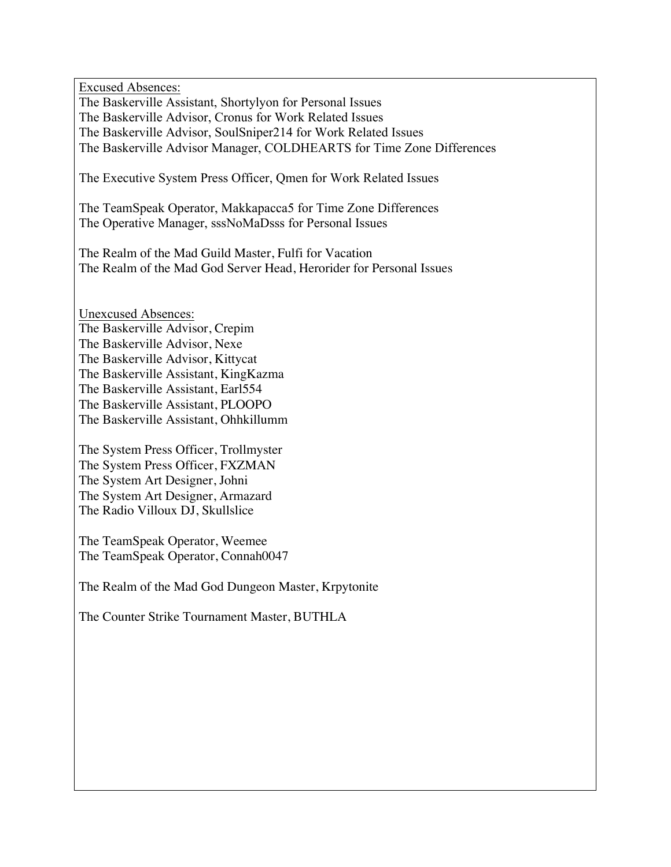Excused Absences: The Baskerville Assistant, Shortylyon for Personal Issues The Baskerville Advisor, Cronus for Work Related Issues The Baskerville Advisor, SoulSniper214 for Work Related Issues The Baskerville Advisor Manager, COLDHEARTS for Time Zone Differences

The Executive System Press Officer, Qmen for Work Related Issues

The TeamSpeak Operator, Makkapacca5 for Time Zone Differences The Operative Manager, sssNoMaDsss for Personal Issues

The Realm of the Mad Guild Master, Fulfi for Vacation The Realm of the Mad God Server Head, Herorider for Personal Issues

Unexcused Absences: The Baskerville Advisor, Crepim The Baskerville Advisor, Nexe The Baskerville Advisor, Kittycat The Baskerville Assistant, KingKazma The Baskerville Assistant, Earl554 The Baskerville Assistant, PLOOPO The Baskerville Assistant, Ohhkillumm

The System Press Officer, Trollmyster The System Press Officer, FXZMAN The System Art Designer, Johni The System Art Designer, Armazard The Radio Villoux DJ, Skullslice

The TeamSpeak Operator, Weemee The TeamSpeak Operator, Connah0047

The Realm of the Mad God Dungeon Master, Krpytonite

The Counter Strike Tournament Master, BUTHLA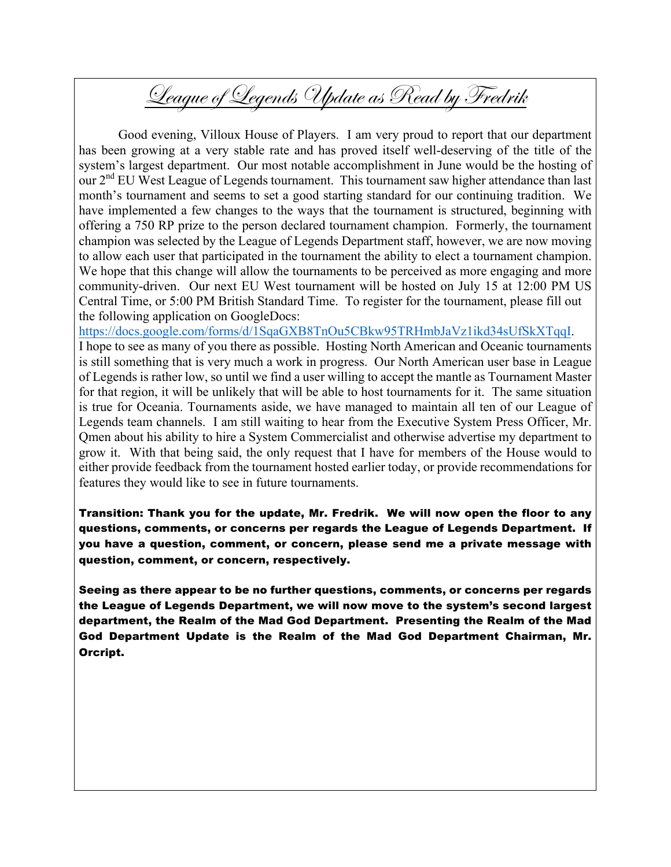# League of Legends Update as Read by Fredrik

Good evening, Villoux House of Players. I am very proud to report that our department has been growing at a very stable rate and has proved itself well-deserving of the title of the system's largest department. Our most notable accomplishment in June would be the hosting of our 2<sup>nd</sup> EU West League of Legends tournament. This tournament saw higher attendance than last month's tournament and seems to set a good starting standard for our continuing tradition. We have implemented a few changes to the ways that the tournament is structured, beginning with offering a 750 RP prize to the person declared tournament champion. Formerly, the tournament champion was selected by the League of Legends Department staff, however, we are now moving to allow each user that participated in the tournament the ability to elect a tournament champion. We hope that this change will allow the tournaments to be perceived as more engaging and more community-driven. Our next EU West tournament will be hosted on July 15 at 12:00 PM US Central Time, or 5:00 PM British Standard Time. To register for the tournament, please fill out the following application on GoogleDocs:

https://docs.google.com/forms/d/1SqaGXB8TnOu5CBkw95TRHmbJaVz1ikd34sUfSkXTqqI.

I hope to see as many of you there as possible. Hosting North American and Oceanic tournaments is still something that is very much a work in progress. Our North American user base in League of Legends is rather low, so until we find a user willing to accept the mantle as Tournament Master for that region, it will be unlikely that will be able to host tournaments for it. The same situation is true for Oceania. Tournaments aside, we have managed to maintain all ten of our League of Legends team channels. I am still waiting to hear from the Executive System Press Officer, Mr. Qmen about his ability to hire a System Commercialist and otherwise advertise my department to grow it. With that being said, the only request that I have for members of the House would to either provide feedback from the tournament hosted earlier today, or provide recommendations for features they would like to see in future tournaments.

Transition: Thank you for the update, Mr. Fredrik. We will now open the floor to any questions, comments, or concerns per regards the League of Legends Department. If you have a question, comment, or concern, please send me a private message with question, comment, or concern, respectively.

Seeing as there appear to be no further questions, comments, or concerns per regards the League of Legends Department, we will now move to the system's second largest department, the Realm of the Mad God Department. Presenting the Realm of the Mad God Department Update is the Realm of the Mad God Department Chairman, Mr. Orcript.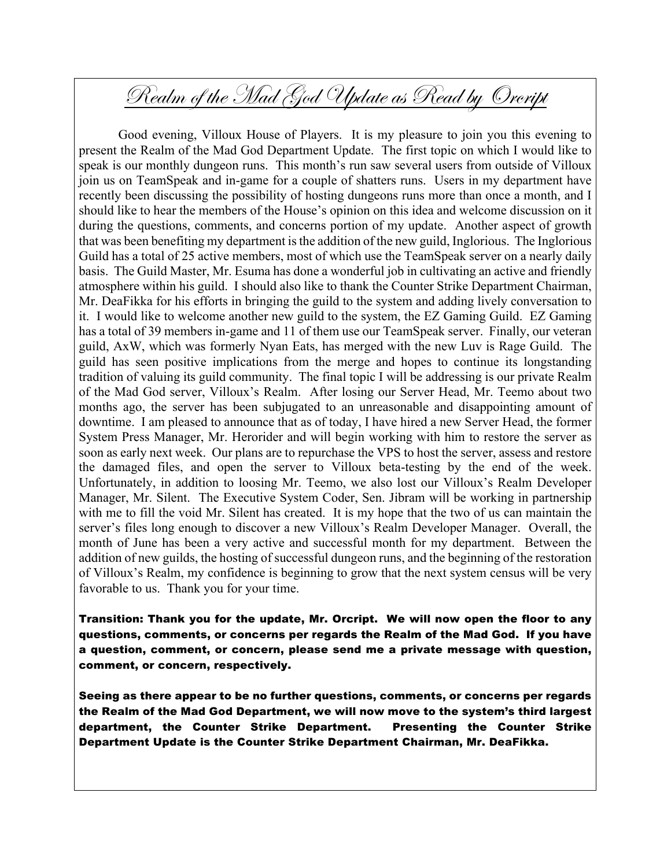# Realm of the Mad God Update as Read by Orcript

Good evening, Villoux House of Players. It is my pleasure to join you this evening to present the Realm of the Mad God Department Update. The first topic on which I would like to speak is our monthly dungeon runs. This month's run saw several users from outside of Villoux join us on TeamSpeak and in-game for a couple of shatters runs. Users in my department have recently been discussing the possibility of hosting dungeons runs more than once a month, and I should like to hear the members of the House's opinion on this idea and welcome discussion on it during the questions, comments, and concerns portion of my update. Another aspect of growth that was been benefiting my department is the addition of the new guild, Inglorious. The Inglorious Guild has a total of 25 active members, most of which use the TeamSpeak server on a nearly daily basis. The Guild Master, Mr. Esuma has done a wonderful job in cultivating an active and friendly atmosphere within his guild. I should also like to thank the Counter Strike Department Chairman, Mr. DeaFikka for his efforts in bringing the guild to the system and adding lively conversation to it. I would like to welcome another new guild to the system, the EZ Gaming Guild. EZ Gaming has a total of 39 members in-game and 11 of them use our TeamSpeak server. Finally, our veteran guild, AxW, which was formerly Nyan Eats, has merged with the new Luv is Rage Guild. The guild has seen positive implications from the merge and hopes to continue its longstanding tradition of valuing its guild community. The final topic I will be addressing is our private Realm of the Mad God server, Villoux's Realm. After losing our Server Head, Mr. Teemo about two months ago, the server has been subjugated to an unreasonable and disappointing amount of downtime. I am pleased to announce that as of today, I have hired a new Server Head, the former System Press Manager, Mr. Herorider and will begin working with him to restore the server as soon as early next week. Our plans are to repurchase the VPS to host the server, assess and restore the damaged files, and open the server to Villoux beta-testing by the end of the week. Unfortunately, in addition to loosing Mr. Teemo, we also lost our Villoux's Realm Developer Manager, Mr. Silent. The Executive System Coder, Sen. Jibram will be working in partnership with me to fill the void Mr. Silent has created. It is my hope that the two of us can maintain the server's files long enough to discover a new Villoux's Realm Developer Manager. Overall, the month of June has been a very active and successful month for my department. Between the addition of new guilds, the hosting of successful dungeon runs, and the beginning of the restoration of Villoux's Realm, my confidence is beginning to grow that the next system census will be very favorable to us. Thank you for your time.

Transition: Thank you for the update, Mr. Orcript. We will now open the floor to any questions, comments, or concerns per regards the Realm of the Mad God. If you have a question, comment, or concern, please send me a private message with question, comment, or concern, respectively.

Seeing as there appear to be no further questions, comments, or concerns per regards the Realm of the Mad God Department, we will now move to the system's third largest department, the Counter Strike Department. Presenting the Counter Strike Department Update is the Counter Strike Department Chairman, Mr. DeaFikka.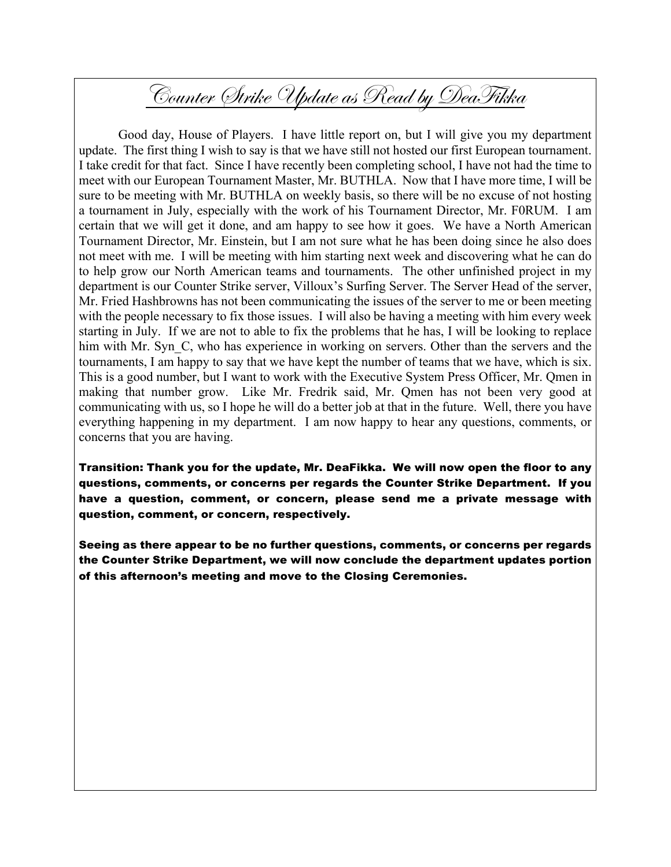# Counter Strike Update as Read by DeaFikka

Good day, House of Players. I have little report on, but I will give you my department update. The first thing I wish to say is that we have still not hosted our first European tournament. I take credit for that fact. Since I have recently been completing school, I have not had the time to meet with our European Tournament Master, Mr. BUTHLA. Now that I have more time, I will be sure to be meeting with Mr. BUTHLA on weekly basis, so there will be no excuse of not hosting a tournament in July, especially with the work of his Tournament Director, Mr. F0RUM. I am certain that we will get it done, and am happy to see how it goes. We have a North American Tournament Director, Mr. Einstein, but I am not sure what he has been doing since he also does not meet with me. I will be meeting with him starting next week and discovering what he can do to help grow our North American teams and tournaments. The other unfinished project in my department is our Counter Strike server, Villoux's Surfing Server. The Server Head of the server, Mr. Fried Hashbrowns has not been communicating the issues of the server to me or been meeting with the people necessary to fix those issues. I will also be having a meeting with him every week starting in July. If we are not to able to fix the problems that he has, I will be looking to replace him with Mr. Syn<sub>C</sub>, who has experience in working on servers. Other than the servers and the tournaments, I am happy to say that we have kept the number of teams that we have, which is six. This is a good number, but I want to work with the Executive System Press Officer, Mr. Qmen in making that number grow. Like Mr. Fredrik said, Mr. Qmen has not been very good at communicating with us, so I hope he will do a better job at that in the future. Well, there you have everything happening in my department. I am now happy to hear any questions, comments, or concerns that you are having.

Transition: Thank you for the update, Mr. DeaFikka. We will now open the floor to any questions, comments, or concerns per regards the Counter Strike Department. If you have a question, comment, or concern, please send me a private message with question, comment, or concern, respectively.

Seeing as there appear to be no further questions, comments, or concerns per regards the Counter Strike Department, we will now conclude the department updates portion of this afternoon's meeting and move to the Closing Ceremonies.